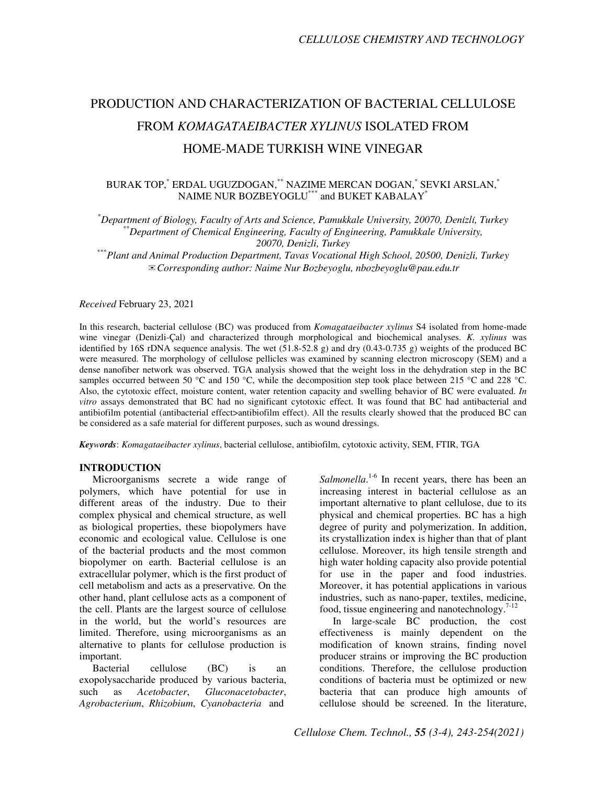# PRODUCTION AND CHARACTERIZATION OF BACTERIAL CELLULOSE FROM *KOMAGATAEIBACTER XYLINUS* ISOLATED FROM HOME-MADE TURKISH WINE VINEGAR

# BURAK TOP,\* ERDAL UGUZDOGAN,\*\* NAZIME MERCAN DOGAN,\* SEVKI ARSLAN,\* NAIME NUR BOZBEYOGLU\*\*\* and BUKET KABALAY\*

\**Department of Biology, Faculty of Arts and Science, Pamukkale University, 20070,* Denızlı ̇ ̇*, Turkey*  \*\**Department of Chemical Engineering, Faculty of Engineering, Pamukkale University, 20070, Denizli, Turkey* 

\*\*\**Plant and Animal Production Department, Tavas Vocational High School, 20500, Denizli, Turkey*  ✉*Corresponding author: Naime Nur Bozbeyoglu, nbozbeyoglu@pau.edu.tr* 

#### *Received* February 23, 2021

In this research, bacterial cellulose (BC) was produced from *Komagataeibacter xylinus* S4 isolated from home-made wine vinegar (Denizli-Çal) and characterized through morphological and biochemical analyses. *K. xylinus* was identified by 16S rDNA sequence analysis. The wet  $(51.8-52.8 g)$  and dry  $(0.43-0.735 g)$  weights of the produced BC were measured. The morphology of cellulose pellicles was examined by scanning electron microscopy (SEM) and a dense nanofiber network was observed. TGA analysis showed that the weight loss in the dehydration step in the BC samples occurred between 50 °C and 150 °C, while the decomposition step took place between 215 °C and 228 °C. Also, the cytotoxic effect, moisture content, water retention capacity and swelling behavior of BC were evaluated. *In vitro* assays demonstrated that BC had no significant cytotoxic effect. It was found that BC had antibacterial and antibiofilm potential (antibacterial effect>antibiofilm effect). All the results clearly showed that the produced BC can be considered as a safe material for different purposes, such as wound dressings.

*Keywords*: *Komagataeibacter xylinus*, bacterial cellulose, antibiofilm, cytotoxic activity, SEM, FTIR, TGA

## **INTRODUCTION**

Microorganisms secrete a wide range of polymers, which have potential for use in different areas of the industry. Due to their complex physical and chemical structure, as well as biological properties, these biopolymers have economic and ecological value. Cellulose is one of the bacterial products and the most common biopolymer on earth. Bacterial cellulose is an extracellular polymer, which is the first product of cell metabolism and acts as a preservative. On the other hand, plant cellulose acts as a component of the cell. Plants are the largest source of cellulose in the world, but the world's resources are limited. Therefore, using microorganisms as an alternative to plants for cellulose production is important.

Bacterial cellulose (BC) is an exopolysaccharide produced by various bacteria, such as *Acetobacter*, *Gluconacetobacter*, *Agrobacterium*, *Rhizobium*, *Cyanobacteria* and

Salmonella.<sup>1-6</sup> In recent years, there has been an increasing interest in bacterial cellulose as an important alternative to plant cellulose, due to its physical and chemical properties. BC has a high degree of purity and polymerization. In addition, its crystallization index is higher than that of plant cellulose. Moreover, its high tensile strength and high water holding capacity also provide potential for use in the paper and food industries. Moreover, it has potential applications in various industries, such as nano-paper, textiles, medicine, food, tissue engineering and nanotechnology. $7-12$ 

In large-scale BC production, the cost effectiveness is mainly dependent on the modification of known strains, finding novel producer strains or improving the BC production conditions. Therefore, the cellulose production conditions of bacteria must be optimized or new bacteria that can produce high amounts of cellulose should be screened. In the literature,

*Cellulose Chem. Technol., 55 (3-4), 243-254(2021)*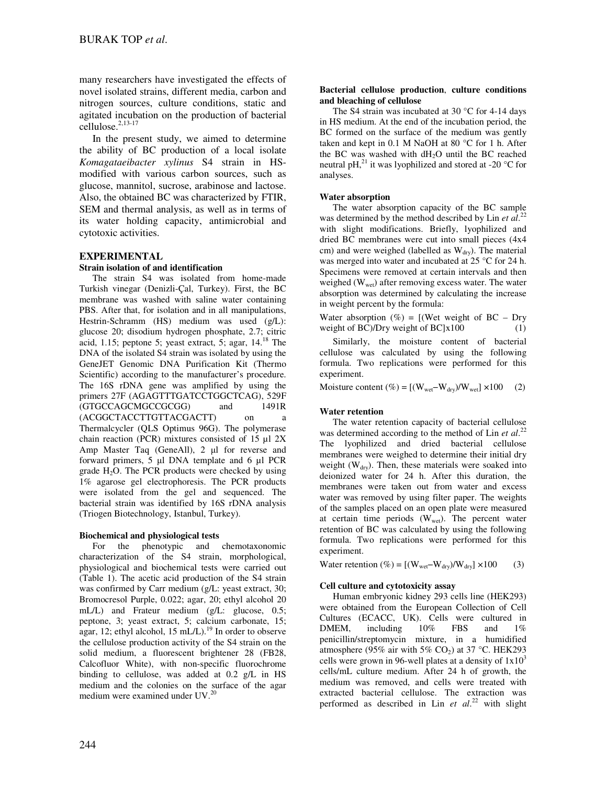many researchers have investigated the effects of novel isolated strains, different media, carbon and nitrogen sources, culture conditions, static and agitated incubation on the production of bacterial cellulose.2,13-17

In the present study, we aimed to determine the ability of BC production of a local isolate *Komagataeibacter xylinus* S4 strain in HSmodified with various carbon sources, such as glucose, mannitol, sucrose, arabinose and lactose. Also, the obtained BC was characterized by FTIR, SEM and thermal analysis, as well as in terms of its water holding capacity, antimicrobial and cytotoxic activities.

# **EXPERIMENTAL**

## **Strain isolation of and identification**

The strain S4 was isolated from home-made Turkish vinegar (Denizli-Çal, Turkey). First, the BC membrane was washed with saline water containing PBS. After that, for isolation and in all manipulations, Hestrin-Schramm (HS) medium was used (g/L): glucose 20; disodium hydrogen phosphate, 2.7; citric acid, 1.15; peptone 5; yeast extract, 5; agar,  $14.^{18}$  The DNA of the isolated S4 strain was isolated by using the GeneJET Genomic DNA Purification Kit (Thermo Scientific) according to the manufacturer's procedure. The 16S rDNA gene was amplified by using the primers 27F (AGAGTTTGATCCTGGCTCAG), 529F<br>(GTGCCAGCMGCCGCGG) and 1491R (GTGCCAGCMGCCGCGG) and (ACGGCTACCTTGTTACGACTT) on Thermalcycler (QLS Optimus 96G). The polymerase chain reaction (PCR) mixtures consisted of 15 µl 2X Amp Master Taq (GeneAll), 2 µl for reverse and forward primers, 5 µl DNA template and 6 µl PCR grade  $H_2O$ . The PCR products were checked by using 1% agarose gel electrophoresis. The PCR products were isolated from the gel and sequenced. The bacterial strain was identified by 16S rDNA analysis (Triogen Biotechnology, Istanbul, Turkey).

## **Biochemical and physiological tests**

For the phenotypic and chemotaxonomic characterization of the S4 strain, morphological, physiological and biochemical tests were carried out (Table 1). The acetic acid production of the S4 strain was confirmed by Carr medium (g/L: yeast extract, 30; Bromocresol Purple, 0.022; agar, 20; ethyl alcohol 20 mL/L) and Frateur medium (g/L: glucose, 0.5; peptone, 3; yeast extract, 5; calcium carbonate, 15; agar, 12; ethyl alcohol, 15 mL/L). $^{19}$  In order to observe the cellulose production activity of the S4 strain on the solid medium, a fluorescent brightener 28 (FB28, Calcofluor White), with non-specific fluorochrome binding to cellulose, was added at 0.2 g/L in HS medium and the colonies on the surface of the agar medium were examined under UV.<sup>20</sup>

## **Bacterial cellulose production**, **culture conditions and bleaching of cellulose**

The S4 strain was incubated at 30  $\degree$ C for 4-14 days in HS medium. At the end of the incubation period, the BC formed on the surface of the medium was gently taken and kept in 0.1 M NaOH at 80 °C for 1 h. After the BC was washed with  $dH<sub>2</sub>O$  until the BC reached neutral pH,<sup>21</sup> it was lyophilized and stored at -20  $\rm{^{\circ}C}$  for analyses.

# **Water absorption**

The water absorption capacity of the BC sample was determined by the method described by Lin *et al.*<sup>22</sup> with slight modifications. Briefly, lyophilized and dried BC membranes were cut into small pieces (4x4 cm) and were weighed (labelled as  $W<sub>dry</sub>$ ). The material was merged into water and incubated at 25 °C for 24 h. Specimens were removed at certain intervals and then weighed  $(W<sub>wet</sub>)$  after removing excess water. The water absorption was determined by calculating the increase in weight percent by the formula:

Water absorption  $(\%) = [(\text{Wet weight of BC} - \text{Dry})]$ weight of  $BC$ )/Dry weight of  $BC$  $x100$  (1)

Similarly, the moisture content of bacterial cellulose was calculated by using the following formula. Two replications were performed for this experiment.

Moisture content (%) =  $[(W_{wet}-W_{dry})/W_{wet}] \times 100$  (2)

# **Water retention**

The water retention capacity of bacterial cellulose was determined according to the method of Lin *et al.*<sup>22</sup> The lyophilized and dried bacterial cellulose membranes were weighed to determine their initial dry weight ( $W<sub>dry</sub>$ ). Then, these materials were soaked into deionized water for 24 h. After this duration, the membranes were taken out from water and excess water was removed by using filter paper. The weights of the samples placed on an open plate were measured at certain time periods  $(W_{wet})$ . The percent water retention of BC was calculated by using the following formula. Two replications were performed for this experiment.

Water retention (%) =  $[(W_{wet}-W_{dry})/W_{dry}] \times 100$  (3)

# **Cell culture and cytotoxicity assay**

Human embryonic kidney 293 cells line (HEK293) were obtained from the European Collection of Cell Cultures (ECACC, UK). Cells were cultured in DMEM, including  $10\%$  FBS and  $1\%$ penicillin/streptomycin mixture, in a humidified atmosphere (95% air with 5%  $CO<sub>2</sub>$ ) at 37 °C. HEK293 cells were grown in 96-well plates at a density of  $1x10<sup>3</sup>$ cells/mL culture medium. After 24 h of growth, the medium was removed, and cells were treated with extracted bacterial cellulose. The extraction was performed as described in Lin *et al*. <sup>22</sup> with slight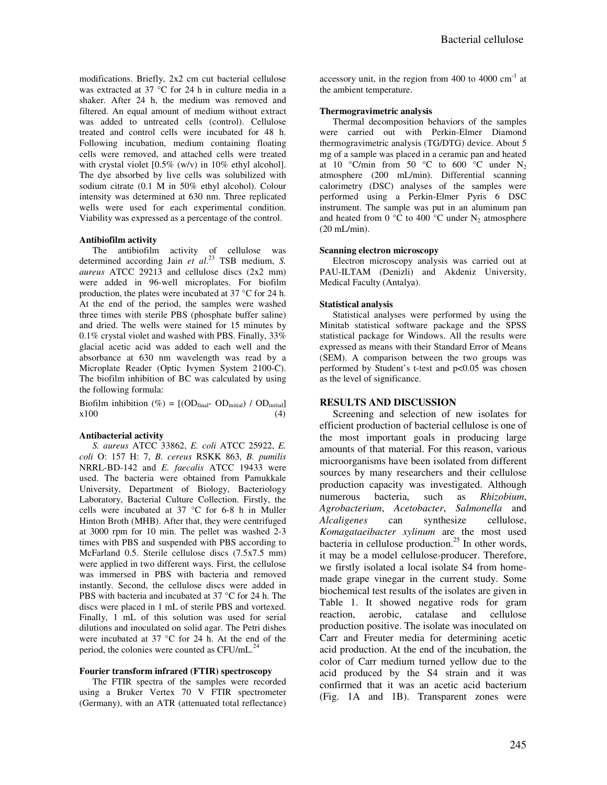modifications. Briefly, 2x2 cm cut bacterial cellulose was extracted at 37 °C for 24 h in culture media in a shaker. After 24 h, the medium was removed and filtered. An equal amount of medium without extract was added to untreated cells (control). Cellulose treated and control cells were incubated for 48 h. Following incubation, medium containing floating cells were removed, and attached cells were treated with crystal violet [0.5% (w/v) in 10% ethyl alcohol]. The dye absorbed by live cells was solubilized with sodium citrate (0.1 M in 50% ethyl alcohol). Colour intensity was determined at 630 nm. Three replicated wells were used for each experimental condition. Viability was expressed as a percentage of the control.

#### **Antibiofilm activity**

The antibiofilm activity of cellulose was determined according Jain *et al*. <sup>23</sup> TSB medium, *S. aureus* ATCC 29213 and cellulose discs (2x2 mm) were added in 96-well microplates. For biofilm production, the plates were incubated at 37 °C for 24 h. At the end of the period, the samples were washed three times with sterile PBS (phosphate buffer saline) and dried. The wells were stained for 15 minutes by 0.1% crystal violet and washed with PBS. Finally, 33% glacial acetic acid was added to each well and the absorbance at 630 nm wavelength was read by a Microplate Reader (Optic Ivymen System 2100-C). The biofilm inhibition of BC was calculated by using the following formula:

Biofilm inhibition (%) =  $[(OD<sub>final</sub> - OD<sub>initial</sub>] / OD<sub>initial</sub>]$  $x100$  (4)

#### **Antibacterial activity**

*S. aureus* ATCC 33862, *E. coli* ATCC 25922, *E. coli* O: 157 H: 7, *B. cereus* RSKK 863, *B. pumilis* NRRL-BD-142 and *E. faecalis* ATCC 19433 were used. The bacteria were obtained from Pamukkale University, Department of Biology, Bacteriology Laboratory, Bacterial Culture Collection. Firstly, the cells were incubated at 37 °C for 6-8 h in Muller Hinton Broth (MHB). After that, they were centrifuged at 3000 rpm for 10 min. The pellet was washed 2-3 times with PBS and suspended with PBS according to McFarland 0.5. Sterile cellulose discs (7.5x7.5 mm) were applied in two different ways. First, the cellulose was immersed in PBS with bacteria and removed instantly. Second, the cellulose discs were added in PBS with bacteria and incubated at 37 °C for 24 h. The discs were placed in 1 mL of sterile PBS and vortexed. Finally, 1 mL of this solution was used for serial dilutions and inoculated on solid agar. The Petri dishes were incubated at 37 °C for 24 h. At the end of the period, the colonies were counted as CFU/mL.<sup>2</sup>

## **Fourier transform infrared (FTIR) spectroscopy**

The FTIR spectra of the samples were recorded using a Bruker Vertex 70 V FTIR spectrometer (Germany), with an ATR (attenuated total reflectance) accessory unit, in the region from 400 to 4000  $cm^{-1}$  at the ambient temperature.

#### **Thermogravimetric analysis**

Thermal decomposition behaviors of the samples were carried out with Perkin-Elmer Diamond thermogravimetric analysis (TG/DTG) device. About 5 mg of a sample was placed in a ceramic pan and heated at 10 °C/min from 50 °C to 600 °C under  $N_2$ atmosphere (200 mL/min). Differential scanning calorimetry (DSC) analyses of the samples were performed using a Perkin-Elmer Pyris 6 DSC instrument. The sample was put in an aluminum pan and heated from 0  $^{\circ}$ C to 400  $^{\circ}$ C under N<sub>2</sub> atmosphere (20 mL/min).

#### **Scanning electron microscopy**

Electron microscopy analysis was carried out at PAU-ILTAM (Denizli) and Akdeniz University, Medical Faculty (Antalya).

## **Statistical analysis**

Statistical analyses were performed by using the Minitab statistical software package and the SPSS statistical package for Windows. All the results were expressed as means with their Standard Error of Means (SEM). A comparison between the two groups was performed by Student's t-test and p<0.05 was chosen as the level of significance.

## **RESULTS AND DISCUSSION**

Screening and selection of new isolates for efficient production of bacterial cellulose is one of the most important goals in producing large amounts of that material. For this reason, various microorganisms have been isolated from different sources by many researchers and their cellulose production capacity was investigated. Although numerous bacteria, such as *Rhizobium*, *Agrobacterium*, *Acetobacter*, *Salmonella* and *Alcaligenes* can synthesize cellulose, *Komagataeibacter xylinum* are the most used bacteria in cellulose production.<sup>25</sup> In other words, it may be a model cellulose-producer. Therefore, we firstly isolated a local isolate S4 from homemade grape vinegar in the current study. Some biochemical test results of the isolates are given in Table 1. It showed negative rods for gram reaction, aerobic, catalase and cellulose production positive. The isolate was inoculated on Carr and Freuter media for determining acetic acid production. At the end of the incubation, the color of Carr medium turned yellow due to the acid produced by the S4 strain and it was confirmed that it was an acetic acid bacterium (Fig. 1A and 1B). Transparent zones were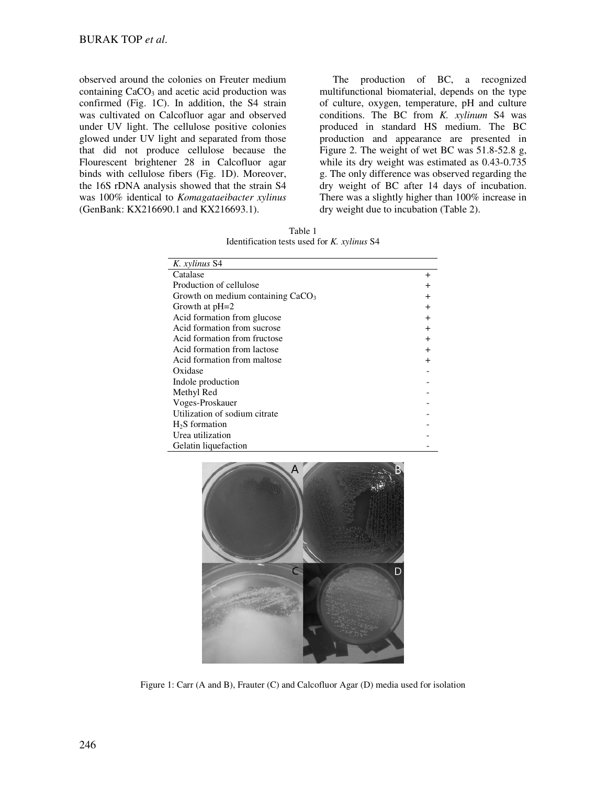observed around the colonies on Freuter medium containing  $CaCO<sub>3</sub>$  and acetic acid production was confirmed (Fig. 1C). In addition, the S4 strain was cultivated on Calcofluor agar and observed under UV light. The cellulose positive colonies glowed under UV light and separated from those that did not produce cellulose because the Flourescent brightener 28 in Calcofluor agar binds with cellulose fibers (Fig. 1D). Moreover, the 16S rDNA analysis showed that the strain S4 was 100% identical to *Komagataeibacter xylinus* (GenBank: KX216690.1 and KX216693.1).

The production of BC, a recognized multifunctional biomaterial, depends on the type of culture, oxygen, temperature, pH and culture conditions. The BC from *K. xylinum* S4 was produced in standard HS medium. The BC production and appearance are presented in Figure 2. The weight of wet BC was 51.8-52.8 g, while its dry weight was estimated as 0.43-0.735 g. The only difference was observed regarding the dry weight of BC after 14 days of incubation. There was a slightly higher than 100% increase in dry weight due to incubation (Table 2).

Table 1 Identification tests used for *K. xylinus* S4

| K. xylinus S4                       |           |
|-------------------------------------|-----------|
| Catalase                            | $\pm$     |
| Production of cellulose             | $\pm$     |
| Growth on medium containing $CaCO3$ | $\pm$     |
| Growth at $pH=2$                    | $\ddot{}$ |
| Acid formation from glucose         | $\ddot{}$ |
| Acid formation from sucrose         | $^{+}$    |
| Acid formation from fructose        | $\ddot{}$ |
| Acid formation from lactose         | $\ddot{}$ |
| Acid formation from maltose         | $\ddot{}$ |
| Oxidase                             |           |
| Indole production                   |           |
| Methyl Red                          |           |
| Voges-Proskauer                     |           |
| Utilization of sodium citrate       |           |
| $H2S$ formation                     |           |
| Urea utilization                    |           |
| Gelatin liquefaction                |           |



Figure 1: Carr (A and B), Frauter (C) and Calcofluor Agar (D) media used for isolation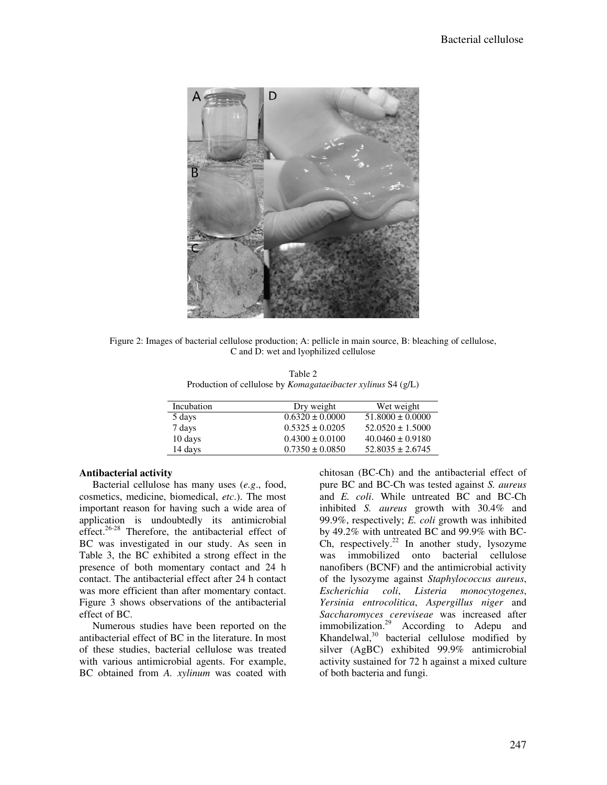

Figure 2: Images of bacterial cellulose production; A: pellicle in main source, B: bleaching of cellulose, C and D: wet and lyophilized cellulose

|  | Table 2                                                             |  |
|--|---------------------------------------------------------------------|--|
|  | Production of cellulose by <i>Komagataeibacter xylinus</i> S4 (g/L) |  |

| Incubation | Dry weight          | Wet weight           |
|------------|---------------------|----------------------|
| 5 days     | $0.6320 \pm 0.0000$ | $51.8000 \pm 0.0000$ |
| 7 days     | $0.5325 \pm 0.0205$ | $52.0520 \pm 1.5000$ |
| 10 days    | $0.4300 \pm 0.0100$ | $40.0460 \pm 0.9180$ |
| 14 days    | $0.7350 \pm 0.0850$ | $52.8035 \pm 2.6745$ |

# **Antibacterial activity**

Bacterial cellulose has many uses (*e.g*., food, cosmetics, medicine, biomedical, *etc*.). The most important reason for having such a wide area of application is undoubtedly its antimicrobial effect.<sup>26-28</sup> Therefore, the antibacterial effect of BC was investigated in our study. As seen in Table 3, the BC exhibited a strong effect in the presence of both momentary contact and 24 h contact. The antibacterial effect after 24 h contact was more efficient than after momentary contact. Figure 3 shows observations of the antibacterial effect of BC.

Numerous studies have been reported on the antibacterial effect of BC in the literature. In most of these studies, bacterial cellulose was treated with various antimicrobial agents. For example, BC obtained from *A. xylinum* was coated with

chitosan (BC-Ch) and the antibacterial effect of pure BC and BC-Ch was tested against *S. aureus* and *E. coli*. While untreated BC and BC-Ch inhibited *S. aureus* growth with 30.4% and 99.9%, respectively; *E. coli* growth was inhibited by 49.2% with untreated BC and 99.9% with BC-Ch, respectively.<sup>22</sup> In another study, lysozyme was immobilized onto bacterial cellulose nanofibers (BCNF) and the antimicrobial activity of the lysozyme against *Staphylococcus aureus*, *Escherichia coli*, *Listeria monocytogenes*, *Yersinia entrocolitica*, *Aspergillus niger* and *Saccharomyces cereviseae* was increased after immobilization.<sup>29</sup> According to Adepu and Khandelwal, $30$  bacterial cellulose modified by silver (AgBC) exhibited 99.9% antimicrobial activity sustained for 72 h against a mixed culture of both bacteria and fungi.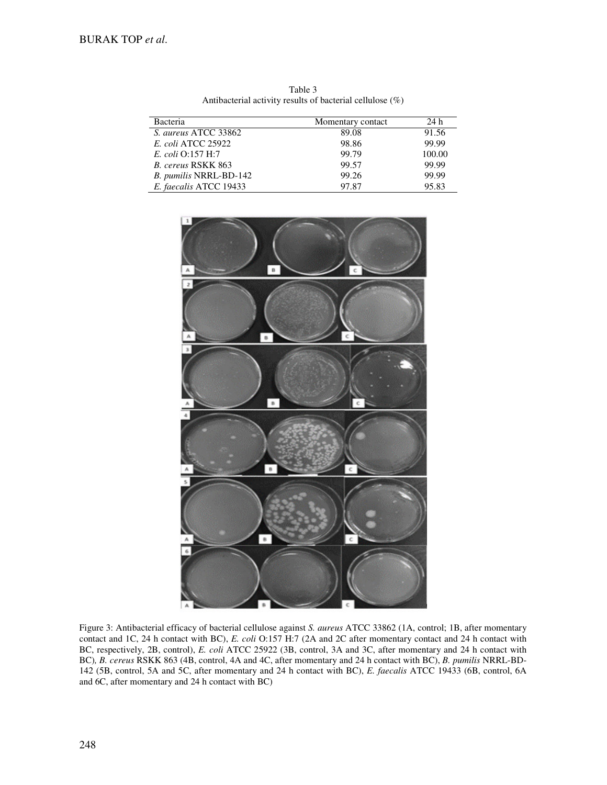| Bacteria                  | Momentary contact | 24 h   |
|---------------------------|-------------------|--------|
| S. aureus ATCC 33862      | 89.08             | 91.56  |
| <i>E. coli</i> ATCC 25922 | 98.86             | 99.99  |
| E. coli Q:157 H:7         | 99.79             | 100.00 |
| B. cereus RSKK 863        | 99.57             | 99.99  |
| B. pumilis NRRL-BD-142    | 99.26             | 99.99  |
| E. faecalis ATCC 19433    | 97.87             | 95.83  |

Table 3 Antibacterial activity results of bacterial cellulose (%)



Figure 3: Antibacterial efficacy of bacterial cellulose against *S. aureus* ATCC 33862 (1A, control; 1B, after momentary contact and 1C, 24 h contact with BC), *E. coli* O:157 H:7 (2A and 2C after momentary contact and 24 h contact with BC, respectively, 2B, control), *E. coli* ATCC 25922 (3B, control, 3A and 3C, after momentary and 24 h contact with BC)*, B. cereus* RSKK 863 (4B, control, 4A and 4C, after momentary and 24 h contact with BC), *B. pumilis* NRRL-BD-142 (5B, control, 5A and 5C, after momentary and 24 h contact with BC), *E. faecalis* ATCC 19433 (6B, control, 6A and 6C, after momentary and 24 h contact with BC)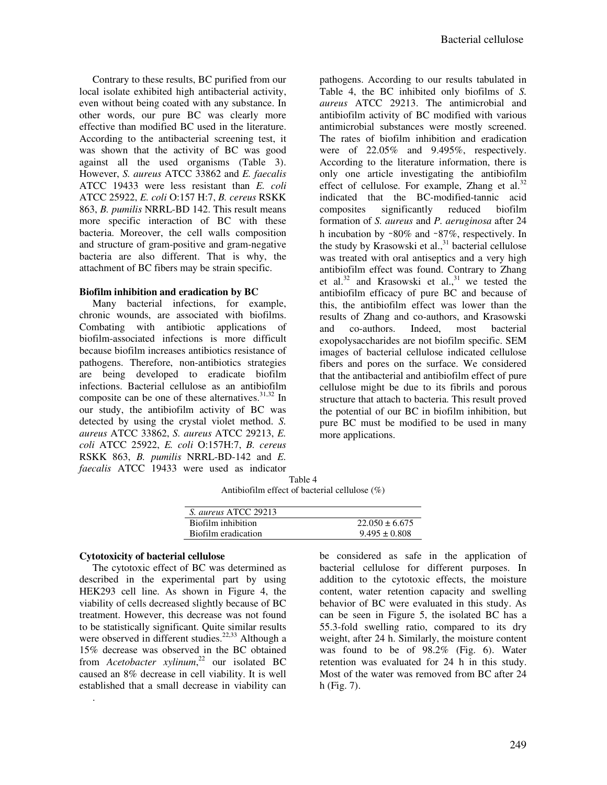Contrary to these results, BC purified from our local isolate exhibited high antibacterial activity, even without being coated with any substance. In other words, our pure BC was clearly more effective than modified BC used in the literature. According to the antibacterial screening test, it was shown that the activity of BC was good against all the used organisms (Table 3). However, *S. aureus* ATCC 33862 and *E. faecalis* ATCC 19433 were less resistant than *E. coli* ATCC 25922, *E. coli* O:157 H:7, *B. cereus* RSKK 863, *B. pumilis* NRRL-BD 142. This result means more specific interaction of BC with these bacteria. Moreover, the cell walls composition and structure of gram-positive and gram-negative bacteria are also different. That is why, the attachment of BC fibers may be strain specific.

# **Biofilm inhibition and eradication by BC**

Many bacterial infections, for example, chronic wounds, are associated with biofilms. Combating with antibiotic applications of biofilm-associated infections is more difficult because biofilm increases antibiotics resistance of pathogens. Therefore, non-antibiotics strategies are being developed to eradicate biofilm infections. Bacterial cellulose as an antibiofilm composite can be one of these alternatives.<sup>31,32</sup> In our study, the antibiofilm activity of BC was detected by using the crystal violet method. *S. aureus* ATCC 33862, *S. aureus* ATCC 29213, *E. coli* ATCC 25922, *E. coli* O:157H:7, *B. cereus* RSKK 863, *B. pumilis* NRRL-BD-142 and *E. faecalis* ATCC 19433 were used as indicator

pathogens. According to our results tabulated in Table 4, the BC inhibited only biofilms of *S. aureus* ATCC 29213. The antimicrobial and antibiofilm activity of BC modified with various antimicrobial substances were mostly screened. The rates of biofilm inhibition and eradication were of 22.05% and 9.495%, respectively. According to the literature information, there is only one article investigating the antibiofilm effect of cellulose. For example, Zhang et al. $32$ indicated that the BC-modified-tannic acid composites significantly reduced biofilm formation of *S. aureus* and *P. aeruginosa* after 24 h incubation by ∼80% and ∼87%, respectively. In the study by Krasowski et al.,<sup>31</sup> bacterial cellulose was treated with oral antiseptics and a very high antibiofilm effect was found. Contrary to Zhang et al.<sup>32</sup> and Krasowski et al.,<sup>31</sup> we tested the antibiofilm efficacy of pure BC and because of this, the antibiofilm effect was lower than the results of Zhang and co-authors, and Krasowski and co-authors. Indeed, most bacterial exopolysaccharides are not biofilm specific. SEM images of bacterial cellulose indicated cellulose fibers and pores on the surface. We considered that the antibacterial and antibiofilm effect of pure cellulose might be due to its fibrils and porous structure that attach to bacteria. This result proved the potential of our BC in biofilm inhibition, but pure BC must be modified to be used in many more applications.

Table 4 Antibiofilm effect of bacterial cellulose (%)

| S. aureus ATCC 29213 |                    |
|----------------------|--------------------|
| Biofilm inhibition   | $22.050 \pm 6.675$ |
| Biofilm eradication  | $9.495 \pm 0.808$  |

# **Cytotoxicity of bacterial cellulose**

.

The cytotoxic effect of BC was determined as described in the experimental part by using HEK293 cell line. As shown in Figure 4, the viability of cells decreased slightly because of BC treatment. However, this decrease was not found to be statistically significant. Quite similar results were observed in different studies.<sup>22,33</sup> Although a 15% decrease was observed in the BC obtained from *Acetobacter xylinum*, <sup>22</sup> our isolated BC caused an 8% decrease in cell viability. It is well established that a small decrease in viability can

be considered as safe in the application of bacterial cellulose for different purposes. In addition to the cytotoxic effects, the moisture content, water retention capacity and swelling behavior of BC were evaluated in this study. As can be seen in Figure 5, the isolated BC has a 55.3-fold swelling ratio, compared to its dry weight, after 24 h. Similarly, the moisture content was found to be of 98.2% (Fig. 6). Water retention was evaluated for 24 h in this study. Most of the water was removed from BC after 24 h (Fig. 7).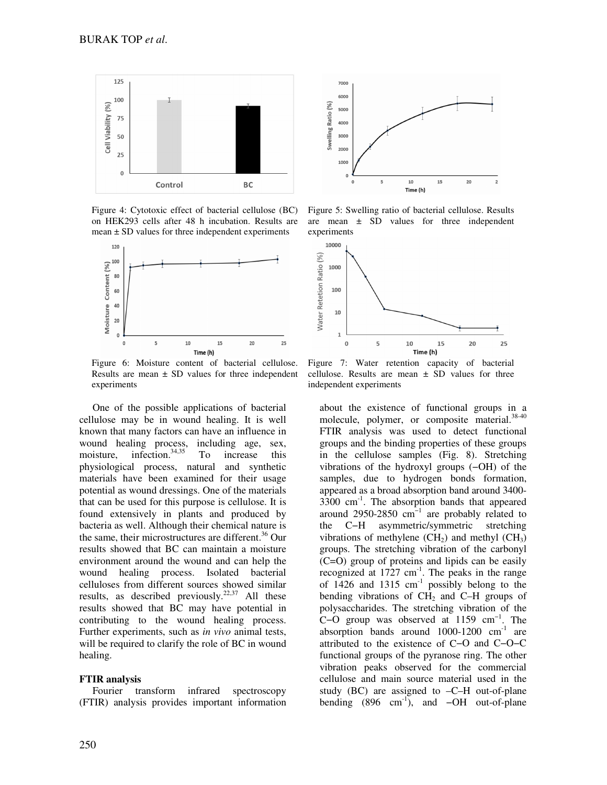

Figure 4: Cytotoxic effect of bacterial cellulose (BC) on HEK293 cells after 48 h incubation. Results are  $mean \pm SD$  values for three independent experiments



Figure 6: Moisture content of bacterial cellulose. Results are mean  $\pm$  SD values for three independent experiments

One of the possible applications of bacterial cellulose may be in wound healing. It is well known that many factors can have an influence in wound healing process, including age, sex, moisture, infection. $34,35$  To increase this physiological process, natural and synthetic materials have been examined for their usage potential as wound dressings. One of the materials that can be used for this purpose is cellulose. It is found extensively in plants and produced by bacteria as well. Although their chemical nature is the same, their microstructures are different.<sup>36</sup> Our results showed that BC can maintain a moisture environment around the wound and can help the wound healing process. Isolated bacterial celluloses from different sources showed similar results, as described previously.<sup>22,37</sup> All these results showed that BC may have potential in contributing to the wound healing process. Further experiments, such as *in vivo* animal tests, will be required to clarify the role of BC in wound healing.

## **FTIR analysis**

Fourier transform infrared spectroscopy (FTIR) analysis provides important information



Figure 5: Swelling ratio of bacterial cellulose. Results are mean  $\pm$  SD values for three independent experiments



Figure 7: Water retention capacity of bacterial cellulose. Results are mean  $\pm$  SD values for three independent experiments

about the existence of functional groups in a molecule, polymer, or composite material.<sup>38-40</sup> FTIR analysis was used to detect functional groups and the binding properties of these groups in the cellulose samples (Fig. 8). Stretching vibrations of the hydroxyl groups (−OH) of the samples, due to hydrogen bonds formation, appeared as a broad absorption band around 3400-  $3300 \text{ cm}^{-1}$ . The absorption bands that appeared around 2950-2850  $cm^{-1}$  are probably related to the C−H asymmetric/symmetric stretching vibrations of methylene  $(CH_2)$  and methyl  $(CH_3)$ groups. The stretching vibration of the carbonyl (C=O) group of proteins and lipids can be easily recognized at  $1727 \text{ cm}^{-1}$ . The peaks in the range of 1426 and 1315  $cm^{-1}$  possibly belong to the bending vibrations of  $CH<sub>2</sub>$  and C–H groups of polysaccharides. The stretching vibration of the C−O group was observed at 1159 cm−1. The absorption bands around  $1000-1200$   $cm^{-1}$  are attributed to the existence of C−O and C−O−C functional groups of the pyranose ring. The other vibration peaks observed for the commercial cellulose and main source material used in the study (BC) are assigned to –C–H out-of-plane bending  $(896 \text{ cm}^{-1})$ , and  $-\text{OH}$  out-of-plane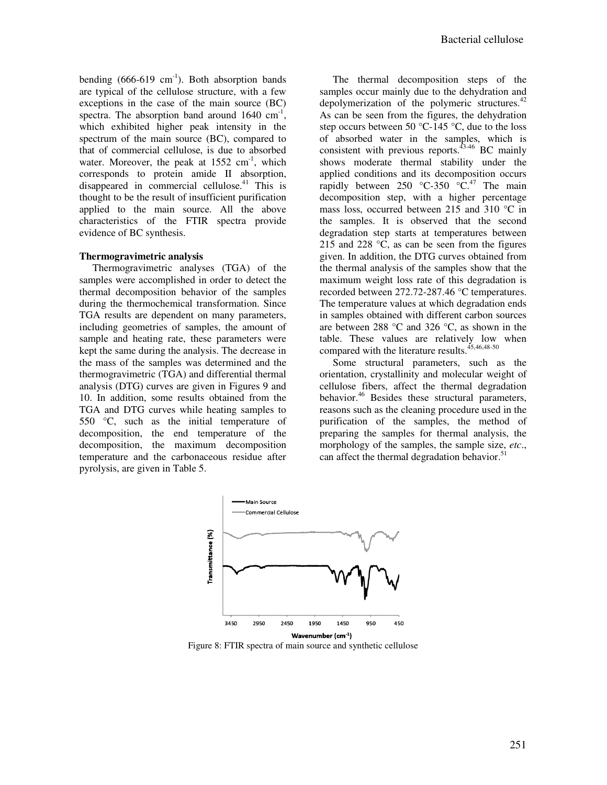bending  $(666-619 \text{ cm}^{-1})$ . Both absorption bands are typical of the cellulose structure, with a few exceptions in the case of the main source (BC) spectra. The absorption band around 1640 cm<sup>-1</sup>, which exhibited higher peak intensity in the spectrum of the main source (BC), compared to that of commercial cellulose, is due to absorbed water. Moreover, the peak at  $1552 \text{ cm}^{-1}$ , which corresponds to protein amide II absorption, disappeared in commercial cellulose.<sup>41</sup> This is thought to be the result of insufficient purification applied to the main source. All the above characteristics of the FTIR spectra provide evidence of BC synthesis.

## **Thermogravimetric analysis**

Thermogravimetric analyses (TGA) of the samples were accomplished in order to detect the thermal decomposition behavior of the samples during the thermochemical transformation. Since TGA results are dependent on many parameters, including geometries of samples, the amount of sample and heating rate, these parameters were kept the same during the analysis. The decrease in the mass of the samples was determined and the thermogravimetric (TGA) and differential thermal analysis (DTG) curves are given in Figures 9 and 10. In addition, some results obtained from the TGA and DTG curves while heating samples to 550 °C, such as the initial temperature of decomposition, the end temperature of the decomposition, the maximum decomposition temperature and the carbonaceous residue after pyrolysis, are given in Table 5.

The thermal decomposition steps of the samples occur mainly due to the dehydration and depolymerization of the polymeric structures. $42$ As can be seen from the figures, the dehydration step occurs between 50 °C-145 °C, due to the loss of absorbed water in the samples, which is consistent with previous reports. $43-46$  BC mainly shows moderate thermal stability under the applied conditions and its decomposition occurs rapidly between  $250$  °C-350 °C.<sup>47</sup> The main decomposition step, with a higher percentage mass loss, occurred between 215 and 310 °C in the samples. It is observed that the second degradation step starts at temperatures between 215 and 228  $\degree$ C, as can be seen from the figures given. In addition, the DTG curves obtained from the thermal analysis of the samples show that the maximum weight loss rate of this degradation is recorded between 272.72-287.46 °C temperatures. The temperature values at which degradation ends in samples obtained with different carbon sources are between 288 °C and 326 °C, as shown in the table. These values are relatively low when compared with the literature results. $45,46,48.50$ 

Some structural parameters, such as the orientation, crystallinity and molecular weight of cellulose fibers, affect the thermal degradation behavior.<sup>46</sup> Besides these structural parameters, reasons such as the cleaning procedure used in the purification of the samples, the method of preparing the samples for thermal analysis, the morphology of the samples, the sample size, *etc*., can affect the thermal degradation behavior.<sup>51</sup>



Figure 8: FTIR spectra of main source and synthetic cellulose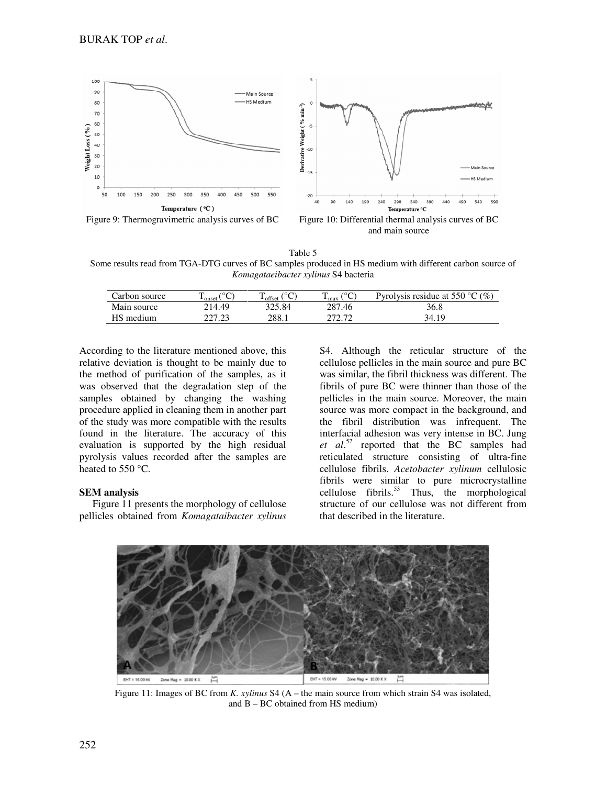

and main source

Table 5 Some results read from TGA-DTG curves of BC samples produced in HS medium with different carbon source of *Komagataeibacter xylinus* S4 bacteria

| Carbon source | $\sim$<br>m.<br>onset | $-$ offset $\cdot$ | $\sim$<br>$\pm$ max | Pyrolysis residue at 550 °C $(\%)$ |
|---------------|-----------------------|--------------------|---------------------|------------------------------------|
| Main source   | 214.49                | 325.84             | 287.46              | 36.8                               |
| HS medium     | ววร วว                | 288.1              | רד רדר              | 34.19                              |

According to the literature mentioned above, this relative deviation is thought to be mainly due to the method of purification of the samples, as it was observed that the degradation step of the samples obtained by changing the washing procedure applied in cleaning them in another part of the study was more compatible with the results found in the literature. The accuracy of this evaluation is supported by the high residual pyrolysis values recorded after the samples are heated to 550 °C.

## **SEM analysis**

Figure 11 presents the morphology of cellulose pellicles obtained from *Komagataibacter xylinus*

S4. Although the reticular structure of the cellulose pellicles in the main source and pure BC was similar, the fibril thickness was different. The fibrils of pure BC were thinner than those of the pellicles in the main source. Moreover, the main source was more compact in the background, and the fibril distribution was infrequent. The interfacial adhesion was very intense in BC. Jung *et al*. <sup>52</sup> reported that the BC samples had reticulated structure consisting of ultra-fine cellulose fibrils. *Acetobacter xylinum* cellulosic fibrils were similar to pure microcrystalline cellulose fibrils. $53$  Thus, the morphological structure of our cellulose was not different from that described in the literature.



Figure 11: Images of BC from *K. xylinus* S4 (A – the main source from which strain S4 was isolated, and B – BC obtained from HS medium)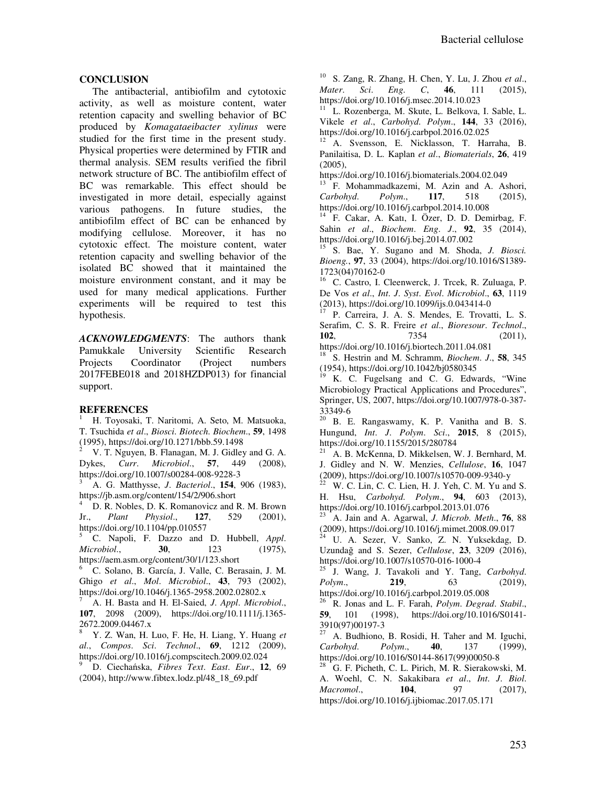# **CONCLUSION**

The antibacterial, antibiofilm and cytotoxic activity, as well as moisture content, water retention capacity and swelling behavior of BC produced by *Komagataeibacter xylinus* were studied for the first time in the present study. Physical properties were determined by FTIR and thermal analysis. SEM results verified the fibril network structure of BC. The antibiofilm effect of BC was remarkable. This effect should be investigated in more detail, especially against various pathogens. In future studies, the antibiofilm effect of BC can be enhanced by modifying cellulose. Moreover, it has no cytotoxic effect. The moisture content, water retention capacity and swelling behavior of the isolated BC showed that it maintained the moisture environment constant, and it may be used for many medical applications. Further experiments will be required to test this hypothesis.

*ACKNOWLEDGMENTS*: The authors thank Pamukkale University Scientific Research Projects Coordinator (Project numbers 2017FEBE018 and 2018HZDP013) for financial support.

# **REFERENCES**

<sup>1</sup> H. Toyosaki, T. Naritomi, A. Seto, M. Matsuoka, T. Tsuchida *et al*., *Biosci*. *Biotech*. *Biochem*., **59**, 1498 (1995), https://doi.org/10.1271/bbb.59.1498

<sup>2</sup> V. T. Nguyen, B. Flanagan, M. J. Gidley and G. A. Dykes, *Curr*. *Microbiol*., **57**, 449 (2008), https://doi.org/10.1007/s00284-008-9228-3

<sup>3</sup> A. G. Matthysse, *J*. *Bacteriol*., **154**, 906 (1983), https://jb.asm.org/content/154/2/906.short

D. R. Nobles, D. K. Romanovicz and R. M. Brown<br>Plant Physiol.. **127.** 529 (2001). Jr., *Plant Physiol*., **127**, 529 (2001), https://doi.org/10.1104/pp.010557

<sup>5</sup> C. Napoli, F. Dazzo and D. Hubbell, *Appl*. *Microbiol*., **30**, 123 (1975), https://aem.asm.org/content/30/1/123.short

<sup>6</sup> C. Solano, B. García, J. Valle, C. Berasain, J. M. Ghigo *et al*., *Mol*. *Microbiol*., **43**, 793 (2002), https://doi.org/10.1046/j.1365-2958.2002.02802.x

<sup>7</sup> A. H. Basta and H. El-Saied, *J*. *Appl*. *Microbiol*., **107**, 2098 (2009), https://doi.org/10.1111/j.1365- 2672.2009.04467.x

<sup>8</sup> Y. Z. Wan, H. Luo, F. He, H. Liang, Y. Huang *et al*., *Compos*. *Sci*. *Technol*., **69**, 1212 (2009), https://doi.org/10.1016/j.compscitech.2009.02.024

<sup>9</sup> D. Ciechańska, *Fibres Text*. *East*. *Eur*., **12**, 69 (2004), http://www.fibtex.lodz.pl/48\_18\_69.pdf

<sup>10</sup> S. Zang, R. Zhang, H. Chen, Y. Lu, J. Zhou *et al*., *Mater*. *Sci*. *Eng*. *C*, **46**, 111 (2015), https://doi.org/10.1016/j.msec.2014.10.023

L. Rozenberga, M. Skute, L. Belkova, I. Sable, L. Vikele *et al*., *Carbohyd*. *Polym*., **144**, 33 (2016), https://doi.org/10.1016/j.carbpol.2016.02.025

<sup>12</sup> A. Svensson, E. Nicklasson, T. Harraha, B. Panilaitisa, D. L. Kaplan *et al*., *Biomaterials*, **26**, 419  $(2005)$ ,

https://doi.org/10.1016/j.biomaterials.2004.02.049

<sup>13</sup> F. Mohammadkazemi, M. Azin and A. Ashori, *Carbohyd*. *Polym*., **117**, 518 (2015), https://doi.org/10.1016/j.carbpol.2014.10.008

<sup>14</sup> F. Cakar, A. Katı, I. Özer, D. D. Demirbag, F. Sahin *et al*., *Biochem*. *Eng*. *J*., **92**, 35 (2014), https://doi.org/10.1016/j.bej.2014.07.002

<sup>15</sup> S. Bae, Y. Sugano and M. Shoda, *J. Biosci. Bioeng.*, **97**, 33 (2004), https://doi.org/10.1016/S1389- 1723(04)70162-0

<sup>16</sup> C. Castro, I. Cleenwerck, J. Trcek, R. Zuluaga, P. De Vos *et al*., *Int*. *J*. *Syst*. *Evol*. *Microbiol*., **63**, 1119 (2013), https://doi.org/10.1099/ijs.0.043414-0

<sup>17</sup> P. Carreira, J. A. S. Mendes, E. Trovatti, L. S. Serafim, C. S. R. Freire *et al*., *Bioresour*. *Technol*., **102**, 7354 (2011), https://doi.org/10.1016/j.biortech.2011.04.081

<sup>18</sup> S. Hestrin and M. Schramm, *Biochem*. *J*., **58**, 345 (1954), https://doi.org/10.1042/bj0580345

K. C. Fugelsang and C. G. Edwards, "Wine Microbiology Practical Applications and Procedures", Springer, US, 2007, https://doi.org/10.1007/978-0-387- 33349-6

B. E. Rangaswamy, K. P. Vanitha and B. S. Hungund, *Int*. *J*. *Polym*. *Sci*., **2015**, 8 (2015), https://doi.org/10.1155/2015/280784

A. B. McKenna, D. Mikkelsen, W. J. Bernhard, M. J. Gidley and N. W. Menzies, *Cellulose*, **16**, 1047 (2009), https://doi.org/10.1007/s10570-009-9340-y

W. C. Lin, C. C. Lien, H. J. Yeh, C. M. Yu and S. H. Hsu, *Carbohyd*. *Polym*., **94**, 603 (2013), https://doi.org/10.1016/j.carbpol.2013.01.076

<sup>23</sup> A. Jain and A. Agarwal, *J*. *Microb*. *Meth*., **76**, 88  $(2009)$ , https://doi.org/10.1016/j.mimet.2008.09.017

U. A. Sezer, V. Sanko, Z. N. Yuksekdag, D. Uzundağ and S. Sezer, *Cellulose*, **23**, 3209 (2016), https://doi.org/10.1007/s10570-016-1000-4<br>25 J Wang J Tayakoli and Y Tang

<sup>25</sup> J. Wang, J. Tavakoli and Y. Tang, *Carbohyd*. *Polym*., **219**, 63 (2019), https://doi.org/10.1016/j.carbpol.2019.05.008

<sup>26</sup> R. Jonas and L. F. Farah, *Polym*. *Degrad*. *Stabil*., **59**, 101 (1998), https://doi.org/10.1016/S0141-  $3910(97)00197-3$ 

A. Budhiono, B. Rosidi, H. Taher and M. Iguchi, *Carbohyd*. *Polym*., **40**, 137 (1999), https://doi.org/10.1016/S0144-8617(99)00050-8

<sup>28</sup> G. F. Picheth, C. L. Pirich, M. R. Sierakowski, M. A. Woehl, C. N. Sakakibara *et al*., *Int*. *J*. *Biol*. *Macromol*., **104**, 97 (2017), https://doi.org/10.1016/j.ijbiomac.2017.05.171